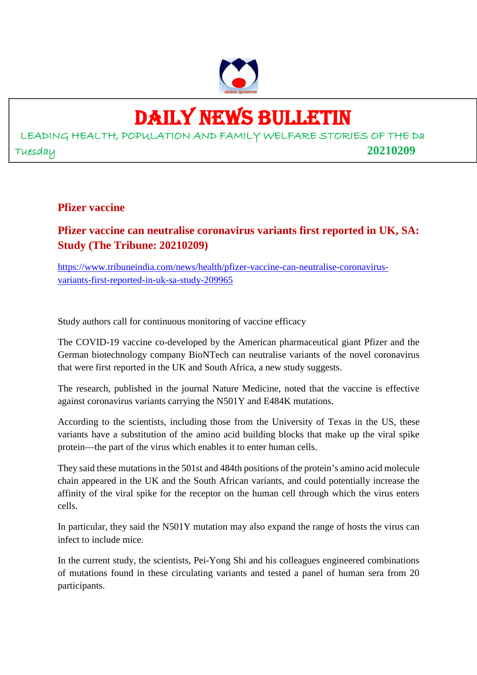

# DAILY NEWS BULLETIN

# LEADING HEALTH, POPULATION AND FAMILY WELFARE STORIES OF THE Da Tuesday **20210209**

#### **Pfizer vaccine**

# **Pfizer vaccine can neutralise coronavirus variants first reported in UK, SA: Study (The Tribune: 20210209)**

https://www.tribuneindia.com/news/health/pfizer-vaccine-can-neutralise-coronavirusvariants-first-reported-in-uk-sa-study-209965

Study authors call for continuous monitoring of vaccine efficacy

The COVID-19 vaccine co-developed by the American pharmaceutical giant Pfizer and the German biotechnology company BioNTech can neutralise variants of the novel coronavirus that were first reported in the UK and South Africa, a new study suggests.

The research, published in the journal Nature Medicine, noted that the vaccine is effective against coronavirus variants carrying the N501Y and E484K mutations.

According to the scientists, including those from the University of Texas in the US, these variants have a substitution of the amino acid building blocks that make up the viral spike protein—the part of the virus which enables it to enter human cells.

They said these mutations in the 501st and 484th positions of the protein's amino acid molecule chain appeared in the UK and the South African variants, and could potentially increase the affinity of the viral spike for the receptor on the human cell through which the virus enters cells.

In particular, they said the N501Y mutation may also expand the range of hosts the virus can infect to include mice.

In the current study, the scientists, Pei-Yong Shi and his colleagues engineered combinations of mutations found in these circulating variants and tested a panel of human sera from 20 participants.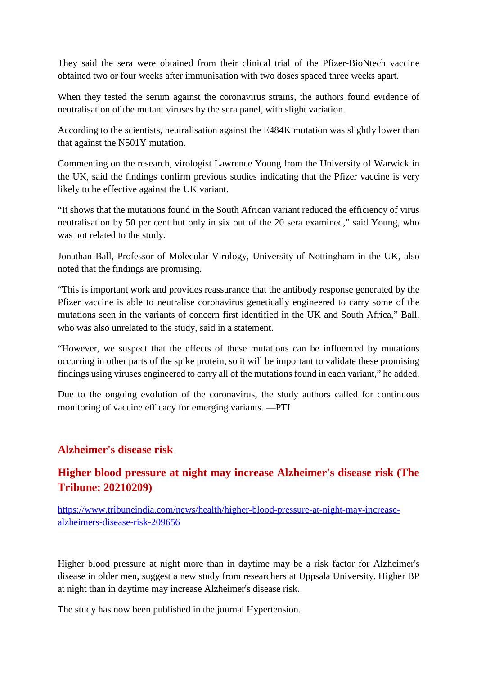They said the sera were obtained from their clinical trial of the Pfizer-BioNtech vaccine obtained two or four weeks after immunisation with two doses spaced three weeks apart.

When they tested the serum against the coronavirus strains, the authors found evidence of neutralisation of the mutant viruses by the sera panel, with slight variation.

According to the scientists, neutralisation against the E484K mutation was slightly lower than that against the N501Y mutation.

Commenting on the research, virologist Lawrence Young from the University of Warwick in the UK, said the findings confirm previous studies indicating that the Pfizer vaccine is very likely to be effective against the UK variant.

"It shows that the mutations found in the South African variant reduced the efficiency of virus neutralisation by 50 per cent but only in six out of the 20 sera examined," said Young, who was not related to the study.

Jonathan Ball, Professor of Molecular Virology, University of Nottingham in the UK, also noted that the findings are promising.

"This is important work and provides reassurance that the antibody response generated by the Pfizer vaccine is able to neutralise coronavirus genetically engineered to carry some of the mutations seen in the variants of concern first identified in the UK and South Africa," Ball, who was also unrelated to the study, said in a statement.

"However, we suspect that the effects of these mutations can be influenced by mutations occurring in other parts of the spike protein, so it will be important to validate these promising findings using viruses engineered to carry all of the mutations found in each variant," he added.

Due to the ongoing evolution of the coronavirus, the study authors called for continuous monitoring of vaccine efficacy for emerging variants. —PTI

## **Alzheimer's disease risk**

# **Higher blood pressure at night may increase Alzheimer's disease risk (The Tribune: 20210209)**

https://www.tribuneindia.com/news/health/higher-blood-pressure-at-night-may-increasealzheimers-disease-risk-209656

Higher blood pressure at night more than in daytime may be a risk factor for Alzheimer's disease in older men, suggest a new study from researchers at Uppsala University. Higher BP at night than in daytime may increase Alzheimer's disease risk.

The study has now been published in the journal Hypertension.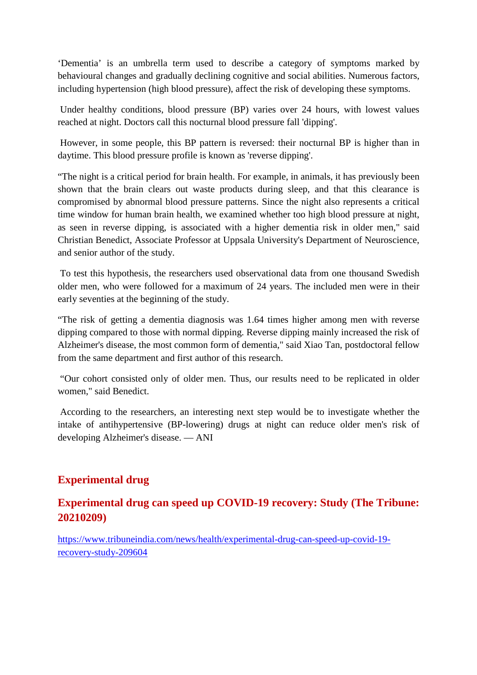'Dementia' is an umbrella term used to describe a category of symptoms marked by behavioural changes and gradually declining cognitive and social abilities. Numerous factors, including hypertension (high blood pressure), affect the risk of developing these symptoms.

Under healthy conditions, blood pressure (BP) varies over 24 hours, with lowest values reached at night. Doctors call this nocturnal blood pressure fall 'dipping'.

However, in some people, this BP pattern is reversed: their nocturnal BP is higher than in daytime. This blood pressure profile is known as 'reverse dipping'.

"The night is a critical period for brain health. For example, in animals, it has previously been shown that the brain clears out waste products during sleep, and that this clearance is compromised by abnormal blood pressure patterns. Since the night also represents a critical time window for human brain health, we examined whether too high blood pressure at night, as seen in reverse dipping, is associated with a higher dementia risk in older men," said Christian Benedict, Associate Professor at Uppsala University's Department of Neuroscience, and senior author of the study.

To test this hypothesis, the researchers used observational data from one thousand Swedish older men, who were followed for a maximum of 24 years. The included men were in their early seventies at the beginning of the study.

"The risk of getting a dementia diagnosis was 1.64 times higher among men with reverse dipping compared to those with normal dipping. Reverse dipping mainly increased the risk of Alzheimer's disease, the most common form of dementia," said Xiao Tan, postdoctoral fellow from the same department and first author of this research.

"Our cohort consisted only of older men. Thus, our results need to be replicated in older women," said Benedict.

According to the researchers, an interesting next step would be to investigate whether the intake of antihypertensive (BP-lowering) drugs at night can reduce older men's risk of developing Alzheimer's disease. — ANI

# **Experimental drug**

## **Experimental drug can speed up COVID-19 recovery: Study (The Tribune: 20210209)**

https://www.tribuneindia.com/news/health/experimental-drug-can-speed-up-covid-19 recovery-study-209604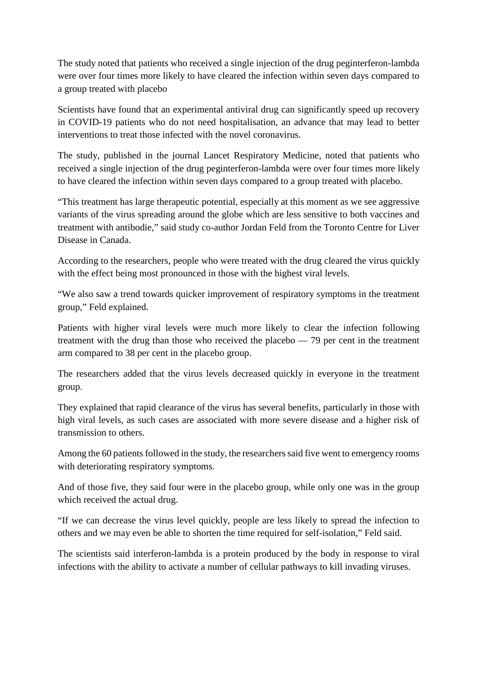The study noted that patients who received a single injection of the drug peginterferon-lambda were over four times more likely to have cleared the infection within seven days compared to a group treated with placebo

Scientists have found that an experimental antiviral drug can significantly speed up recovery in COVID-19 patients who do not need hospitalisation, an advance that may lead to better interventions to treat those infected with the novel coronavirus.

The study, published in the journal Lancet Respiratory Medicine, noted that patients who received a single injection of the drug peginterferon-lambda were over four times more likely to have cleared the infection within seven days compared to a group treated with placebo.

"This treatment has large therapeutic potential, especially at this moment as we see aggressive variants of the virus spreading around the globe which are less sensitive to both vaccines and treatment with antibodie," said study co-author Jordan Feld from the Toronto Centre for Liver Disease in Canada.

According to the researchers, people who were treated with the drug cleared the virus quickly with the effect being most pronounced in those with the highest viral levels.

"We also saw a trend towards quicker improvement of respiratory symptoms in the treatment group," Feld explained.

Patients with higher viral levels were much more likely to clear the infection following treatment with the drug than those who received the placebo — 79 per cent in the treatment arm compared to 38 per cent in the placebo group.

The researchers added that the virus levels decreased quickly in everyone in the treatment group.

They explained that rapid clearance of the virus has several benefits, particularly in those with high viral levels, as such cases are associated with more severe disease and a higher risk of transmission to others.

Among the 60 patients followed in the study, the researchers said five went to emergency rooms with deteriorating respiratory symptoms.

And of those five, they said four were in the placebo group, while only one was in the group which received the actual drug.

"If we can decrease the virus level quickly, people are less likely to spread the infection to others and we may even be able to shorten the time required for self-isolation," Feld said.

The scientists said interferon-lambda is a protein produced by the body in response to viral infections with the ability to activate a number of cellular pathways to kill invading viruses.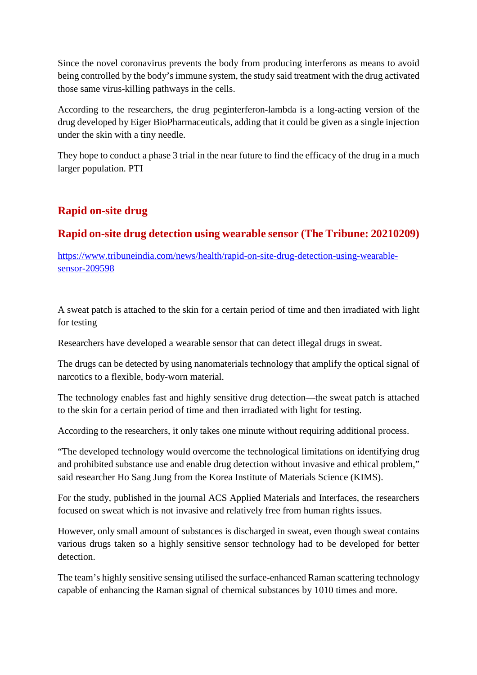Since the novel coronavirus prevents the body from producing interferons as means to avoid being controlled by the body's immune system, the study said treatment with the drug activated those same virus-killing pathways in the cells.

According to the researchers, the drug peginterferon-lambda is a long-acting version of the drug developed by Eiger BioPharmaceuticals, adding that it could be given as a single injection under the skin with a tiny needle.

They hope to conduct a phase 3 trial in the near future to find the efficacy of the drug in a much larger population. PTI

# **Rapid on-site drug**

# **Rapid on-site drug detection using wearable sensor (The Tribune: 20210209)**

https://www.tribuneindia.com/news/health/rapid-on-site-drug-detection-using-wearablesensor-209598

A sweat patch is attached to the skin for a certain period of time and then irradiated with light for testing

Researchers have developed a wearable sensor that can detect illegal drugs in sweat.

The drugs can be detected by using nanomaterials technology that amplify the optical signal of narcotics to a flexible, body-worn material.

The technology enables fast and highly sensitive drug detection—the sweat patch is attached to the skin for a certain period of time and then irradiated with light for testing.

According to the researchers, it only takes one minute without requiring additional process.

"The developed technology would overcome the technological limitations on identifying drug and prohibited substance use and enable drug detection without invasive and ethical problem," said researcher Ho Sang Jung from the Korea Institute of Materials Science (KIMS).

For the study, published in the journal ACS Applied Materials and Interfaces, the researchers focused on sweat which is not invasive and relatively free from human rights issues.

However, only small amount of substances is discharged in sweat, even though sweat contains various drugs taken so a highly sensitive sensor technology had to be developed for better detection.

The team's highly sensitive sensing utilised the surface-enhanced Raman scattering technology capable of enhancing the Raman signal of chemical substances by 1010 times and more.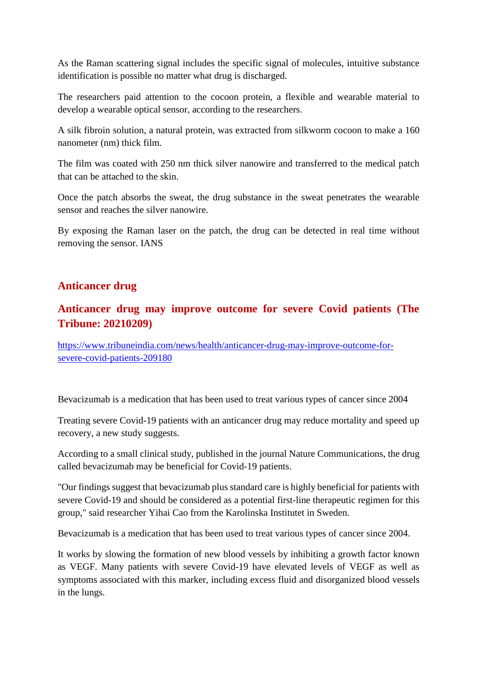As the Raman scattering signal includes the specific signal of molecules, intuitive substance identification is possible no matter what drug is discharged.

The researchers paid attention to the cocoon protein, a flexible and wearable material to develop a wearable optical sensor, according to the researchers.

A silk fibroin solution, a natural protein, was extracted from silkworm cocoon to make a 160 nanometer (nm) thick film.

The film was coated with 250 nm thick silver nanowire and transferred to the medical patch that can be attached to the skin.

Once the patch absorbs the sweat, the drug substance in the sweat penetrates the wearable sensor and reaches the silver nanowire.

By exposing the Raman laser on the patch, the drug can be detected in real time without removing the sensor. IANS

## **Anticancer drug**

## **Anticancer drug may improve outcome for severe Covid patients (The Tribune: 20210209)**

https://www.tribuneindia.com/news/health/anticancer-drug-may-improve-outcome-forsevere-covid-patients-209180

Bevacizumab is a medication that has been used to treat various types of cancer since 2004

Treating severe Covid-19 patients with an anticancer drug may reduce mortality and speed up recovery, a new study suggests.

According to a small clinical study, published in the journal Nature Communications, the drug called bevacizumab may be beneficial for Covid-19 patients.

"Our findings suggest that bevacizumab plus standard care is highly beneficial for patients with severe Covid-19 and should be considered as a potential first-line therapeutic regimen for this group," said researcher Yihai Cao from the Karolinska Institutet in Sweden.

Bevacizumab is a medication that has been used to treat various types of cancer since 2004.

It works by slowing the formation of new blood vessels by inhibiting a growth factor known as VEGF. Many patients with severe Covid-19 have elevated levels of VEGF as well as symptoms associated with this marker, including excess fluid and disorganized blood vessels in the lungs.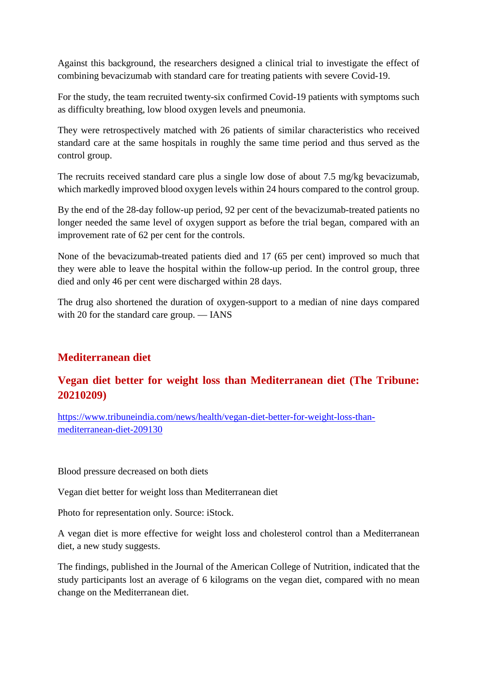Against this background, the researchers designed a clinical trial to investigate the effect of combining bevacizumab with standard care for treating patients with severe Covid-19.

For the study, the team recruited twenty-six confirmed Covid-19 patients with symptoms such as difficulty breathing, low blood oxygen levels and pneumonia.

They were retrospectively matched with 26 patients of similar characteristics who received standard care at the same hospitals in roughly the same time period and thus served as the control group.

The recruits received standard care plus a single low dose of about 7.5 mg/kg bevacizumab, which markedly improved blood oxygen levels within 24 hours compared to the control group.

By the end of the 28-day follow-up period, 92 per cent of the bevacizumab-treated patients no longer needed the same level of oxygen support as before the trial began, compared with an improvement rate of 62 per cent for the controls.

None of the bevacizumab-treated patients died and 17 (65 per cent) improved so much that they were able to leave the hospital within the follow-up period. In the control group, three died and only 46 per cent were discharged within 28 days.

The drug also shortened the duration of oxygen-support to a median of nine days compared with 20 for the standard care group. — IANS

# **Mediterranean diet**

# **Vegan diet better for weight loss than Mediterranean diet (The Tribune: 20210209)**

https://www.tribuneindia.com/news/health/vegan-diet-better-for-weight-loss-thanmediterranean-diet-209130

Blood pressure decreased on both diets

Vegan diet better for weight loss than Mediterranean diet

Photo for representation only. Source: iStock.

A vegan diet is more effective for weight loss and cholesterol control than a Mediterranean diet, a new study suggests.

The findings, published in the Journal of the American College of Nutrition, indicated that the study participants lost an average of 6 kilograms on the vegan diet, compared with no mean change on the Mediterranean diet.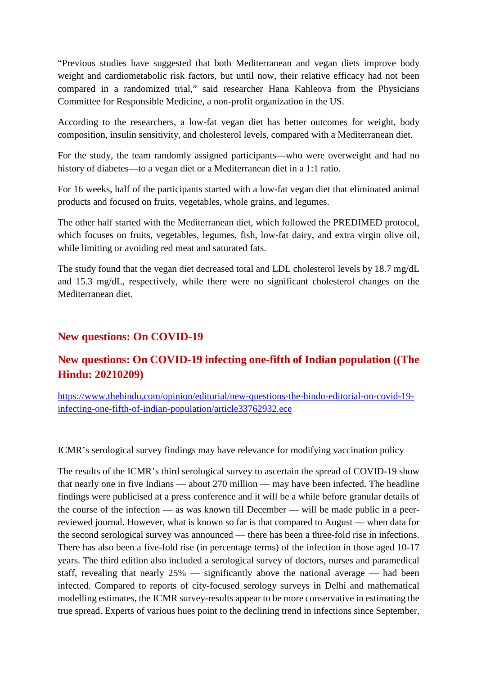"Previous studies have suggested that both Mediterranean and vegan diets improve body weight and cardiometabolic risk factors, but until now, their relative efficacy had not been compared in a randomized trial," said researcher Hana Kahleova from the Physicians Committee for Responsible Medicine, a non-profit organization in the US.

According to the researchers, a low-fat vegan diet has better outcomes for weight, body composition, insulin sensitivity, and cholesterol levels, compared with a Mediterranean diet.

For the study, the team randomly assigned participants—who were overweight and had no history of diabetes—to a vegan diet or a Mediterranean diet in a 1:1 ratio.

For 16 weeks, half of the participants started with a low-fat vegan diet that eliminated animal products and focused on fruits, vegetables, whole grains, and legumes.

The other half started with the Mediterranean diet, which followed the PREDIMED protocol, which focuses on fruits, vegetables, legumes, fish, low-fat dairy, and extra virgin olive oil, while limiting or avoiding red meat and saturated fats.

The study found that the vegan diet decreased total and LDL cholesterol levels by 18.7 mg/dL and 15.3 mg/dL, respectively, while there were no significant cholesterol changes on the Mediterranean diet.

## **New questions: On COVID-19**

# **New questions: On COVID-19 infecting one-fifth of Indian population ((The Hindu: 20210209)**

https://www.thehindu.com/opinion/editorial/new-questions-the-hindu-editorial-on-covid-19 infecting-one-fifth-of-indian-population/article33762932.ece

ICMR's serological survey findings may have relevance for modifying vaccination policy

The results of the ICMR's third serological survey to ascertain the spread of COVID-19 show that nearly one in five Indians — about 270 million — may have been infected. The headline findings were publicised at a press conference and it will be a while before granular details of the course of the infection — as was known till December — will be made public in a peerreviewed journal. However, what is known so far is that compared to August — when data for the second serological survey was announced — there has been a three-fold rise in infections. There has also been a five-fold rise (in percentage terms) of the infection in those aged 10-17 years. The third edition also included a serological survey of doctors, nurses and paramedical staff, revealing that nearly 25% — significantly above the national average — had been infected. Compared to reports of city-focused serology surveys in Delhi and mathematical modelling estimates, the ICMR survey-results appear to be more conservative in estimating the true spread. Experts of various hues point to the declining trend in infections since September,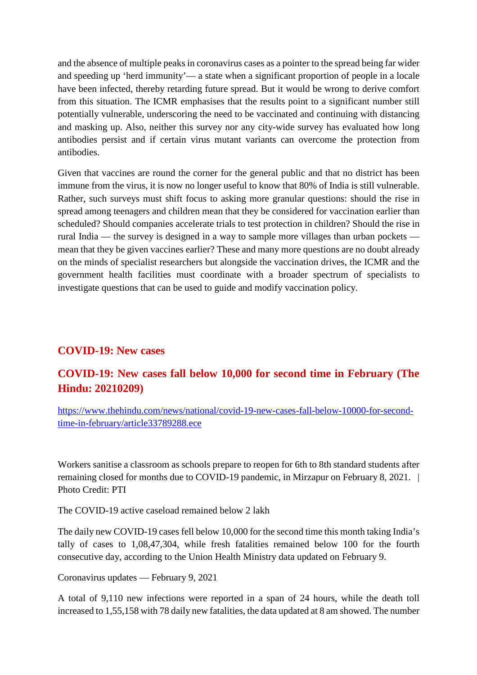and the absence of multiple peaks in coronavirus cases as a pointer to the spread being far wider and speeding up 'herd immunity'— a state when a significant proportion of people in a locale have been infected, thereby retarding future spread. But it would be wrong to derive comfort from this situation. The ICMR emphasises that the results point to a significant number still potentially vulnerable, underscoring the need to be vaccinated and continuing with distancing and masking up. Also, neither this survey nor any city-wide survey has evaluated how long antibodies persist and if certain virus mutant variants can overcome the protection from antibodies.

Given that vaccines are round the corner for the general public and that no district has been immune from the virus, it is now no longer useful to know that 80% of India is still vulnerable. Rather, such surveys must shift focus to asking more granular questions: should the rise in spread among teenagers and children mean that they be considered for vaccination earlier than scheduled? Should companies accelerate trials to test protection in children? Should the rise in rural India — the survey is designed in a way to sample more villages than urban pockets mean that they be given vaccines earlier? These and many more questions are no doubt already on the minds of specialist researchers but alongside the vaccination drives, the ICMR and the government health facilities must coordinate with a broader spectrum of specialists to investigate questions that can be used to guide and modify vaccination policy.

## **COVID-19: New cases**

# **COVID-19: New cases fall below 10,000 for second time in February (The Hindu: 20210209)**

https://www.thehindu.com/news/national/covid-19-new-cases-fall-below-10000-for-secondtime-in-february/article33789288.ece

Workers sanitise a classroom as schools prepare to reopen for 6th to 8th standard students after remaining closed for months due to COVID-19 pandemic, in Mirzapur on February 8, 2021. | Photo Credit: PTI

The COVID-19 active caseload remained below 2 lakh

The daily new COVID-19 cases fell below 10,000 for the second time this month taking India's tally of cases to 1,08,47,304, while fresh fatalities remained below 100 for the fourth consecutive day, according to the Union Health Ministry data updated on February 9.

Coronavirus updates — February 9, 2021

A total of 9,110 new infections were reported in a span of 24 hours, while the death toll increased to 1,55,158 with 78 daily new fatalities, the data updated at 8 am showed. The number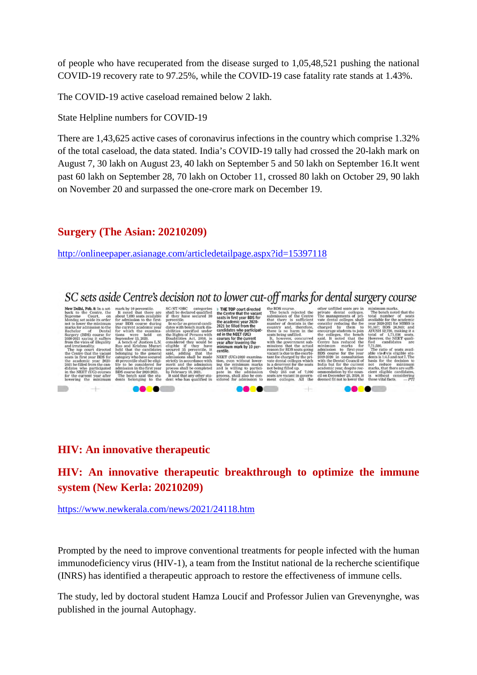of people who have recuperated from the disease surged to 1,05,48,521 pushing the national COVID-19 recovery rate to 97.25%, while the COVID-19 case fatality rate stands at 1.43%.

The COVID-19 active caseload remained below 2 lakh.

State Helpline numbers for COVID-19

There are 1,43,625 active cases of coronavirus infections in the country which comprise 1.32% of the total caseload, the data stated. India's COVID-19 tally had crossed the 20-lakh mark on August 7, 30 lakh on August 23, 40 lakh on September 5 and 50 lakh on September 16.It went past 60 lakh on September 28, 70 lakh on October 11, crossed 80 lakh on October 29, 90 lakh on November 20 and surpassed the one-crore mark on December 19.

#### **Surgery (The Asian: 20210209)**

http://onlineepaper.asianage.com/articledetailpage.aspx?id=15397118

# SC sets aside Centre's decision not to lower cut-off marks for dental surgery course

Court, on<br>uside its order mission to the<br>of Denta  $(608)$  co (BDS) course for<br>saying it suffers<br>vices of illegality<br>jonality. directed ne vaca<br>r BDS 1

the Centre that the vacant<br>seats in first year BDS for<br>the academic year 2020-<br>2021 be filled from the<br>candidates who participated in the NEET (UG)

ed in the NEET (UG)<br>courses for the current<br>year after lowering the<br>minimum mark by 10 per<br>centile. NEET (UG)-20

ip.<br>of 7,000

# **HIV: An innovative therapeutic**

# **HIV: An innovative therapeutic breakthrough to optimize the immune system (New Kerla: 20210209)**

https://www.newkerala.com/news/2021/24118.htm

Prompted by the need to improve conventional treatments for people infected with the human immunodeficiency virus (HIV-1), a team from the Institut national de la recherche scientifique (INRS) has identified a therapeutic approach to restore the effectiveness of immune cells.

The study, led by doctoral student Hamza Loucif and Professor Julien van Grevenynghe, was published in the journal Autophagy.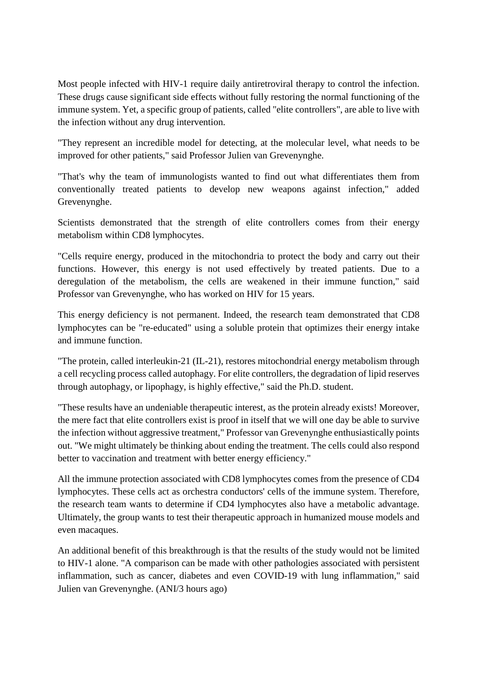Most people infected with HIV-1 require daily antiretroviral therapy to control the infection. These drugs cause significant side effects without fully restoring the normal functioning of the immune system. Yet, a specific group of patients, called "elite controllers", are able to live with the infection without any drug intervention.

"They represent an incredible model for detecting, at the molecular level, what needs to be improved for other patients," said Professor Julien van Grevenynghe.

"That's why the team of immunologists wanted to find out what differentiates them from conventionally treated patients to develop new weapons against infection," added Grevenynghe.

Scientists demonstrated that the strength of elite controllers comes from their energy metabolism within CD8 lymphocytes.

"Cells require energy, produced in the mitochondria to protect the body and carry out their functions. However, this energy is not used effectively by treated patients. Due to a deregulation of the metabolism, the cells are weakened in their immune function," said Professor van Grevenynghe, who has worked on HIV for 15 years.

This energy deficiency is not permanent. Indeed, the research team demonstrated that CD8 lymphocytes can be "re-educated" using a soluble protein that optimizes their energy intake and immune function.

"The protein, called interleukin-21 (IL-21), restores mitochondrial energy metabolism through a cell recycling process called autophagy. For elite controllers, the degradation of lipid reserves through autophagy, or lipophagy, is highly effective," said the Ph.D. student.

"These results have an undeniable therapeutic interest, as the protein already exists! Moreover, the mere fact that elite controllers exist is proof in itself that we will one day be able to survive the infection without aggressive treatment," Professor van Grevenynghe enthusiastically points out. "We might ultimately be thinking about ending the treatment. The cells could also respond better to vaccination and treatment with better energy efficiency."

All the immune protection associated with CD8 lymphocytes comes from the presence of CD4 lymphocytes. These cells act as orchestra conductors' cells of the immune system. Therefore, the research team wants to determine if CD4 lymphocytes also have a metabolic advantage. Ultimately, the group wants to test their therapeutic approach in humanized mouse models and even macaques.

An additional benefit of this breakthrough is that the results of the study would not be limited to HIV-1 alone. "A comparison can be made with other pathologies associated with persistent inflammation, such as cancer, diabetes and even COVID-19 with lung inflammation," said Julien van Grevenynghe. (ANI/3 hours ago)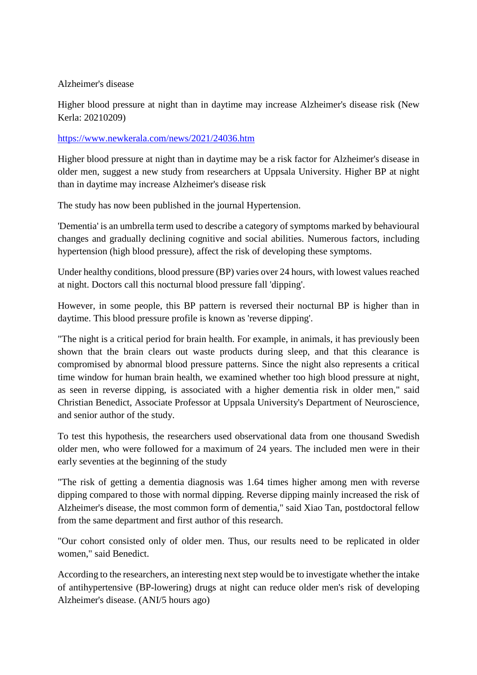#### Alzheimer's disease

Higher blood pressure at night than in daytime may increase Alzheimer's disease risk (New Kerla: 20210209)

#### https://www.newkerala.com/news/2021/24036.htm

Higher blood pressure at night than in daytime may be a risk factor for Alzheimer's disease in older men, suggest a new study from researchers at Uppsala University. Higher BP at night than in daytime may increase Alzheimer's disease risk

The study has now been published in the journal Hypertension.

'Dementia' is an umbrella term used to describe a category of symptoms marked by behavioural changes and gradually declining cognitive and social abilities. Numerous factors, including hypertension (high blood pressure), affect the risk of developing these symptoms.

Under healthy conditions, blood pressure (BP) varies over 24 hours, with lowest values reached at night. Doctors call this nocturnal blood pressure fall 'dipping'.

However, in some people, this BP pattern is reversed their nocturnal BP is higher than in daytime. This blood pressure profile is known as 'reverse dipping'.

"The night is a critical period for brain health. For example, in animals, it has previously been shown that the brain clears out waste products during sleep, and that this clearance is compromised by abnormal blood pressure patterns. Since the night also represents a critical time window for human brain health, we examined whether too high blood pressure at night, as seen in reverse dipping, is associated with a higher dementia risk in older men," said Christian Benedict, Associate Professor at Uppsala University's Department of Neuroscience, and senior author of the study.

To test this hypothesis, the researchers used observational data from one thousand Swedish older men, who were followed for a maximum of 24 years. The included men were in their early seventies at the beginning of the study

"The risk of getting a dementia diagnosis was 1.64 times higher among men with reverse dipping compared to those with normal dipping. Reverse dipping mainly increased the risk of Alzheimer's disease, the most common form of dementia," said Xiao Tan, postdoctoral fellow from the same department and first author of this research.

"Our cohort consisted only of older men. Thus, our results need to be replicated in older women," said Benedict.

According to the researchers, an interesting next step would be to investigate whether the intake of antihypertensive (BP-lowering) drugs at night can reduce older men's risk of developing Alzheimer's disease. (ANI/5 hours ago)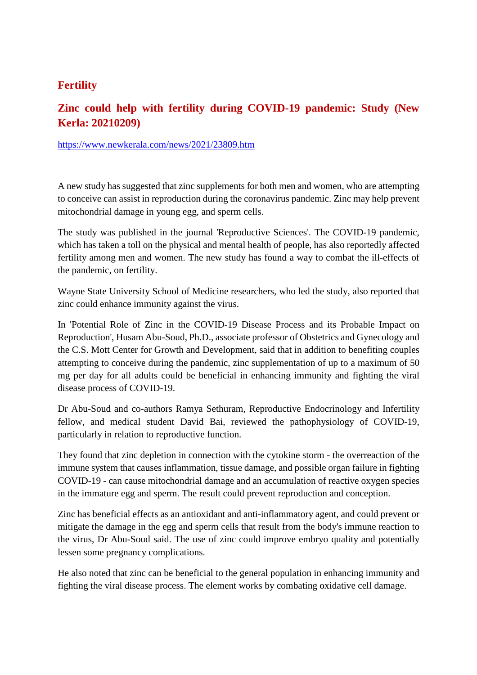## **Fertility**

# **Zinc could help with fertility during COVID-19 pandemic: Study (New Kerla: 20210209)**

https://www.newkerala.com/news/2021/23809.htm

A new study has suggested that zinc supplements for both men and women, who are attempting to conceive can assist in reproduction during the coronavirus pandemic. Zinc may help prevent mitochondrial damage in young egg, and sperm cells.

The study was published in the journal 'Reproductive Sciences'. The COVID-19 pandemic, which has taken a toll on the physical and mental health of people, has also reportedly affected fertility among men and women. The new study has found a way to combat the ill-effects of the pandemic, on fertility.

Wayne State University School of Medicine researchers, who led the study, also reported that zinc could enhance immunity against the virus.

In 'Potential Role of Zinc in the COVID-19 Disease Process and its Probable Impact on Reproduction', Husam Abu-Soud, Ph.D., associate professor of Obstetrics and Gynecology and the C.S. Mott Center for Growth and Development, said that in addition to benefiting couples attempting to conceive during the pandemic, zinc supplementation of up to a maximum of 50 mg per day for all adults could be beneficial in enhancing immunity and fighting the viral disease process of COVID-19.

Dr Abu-Soud and co-authors Ramya Sethuram, Reproductive Endocrinology and Infertility fellow, and medical student David Bai, reviewed the pathophysiology of COVID-19, particularly in relation to reproductive function.

They found that zinc depletion in connection with the cytokine storm - the overreaction of the immune system that causes inflammation, tissue damage, and possible organ failure in fighting COVID-19 - can cause mitochondrial damage and an accumulation of reactive oxygen species in the immature egg and sperm. The result could prevent reproduction and conception.

Zinc has beneficial effects as an antioxidant and anti-inflammatory agent, and could prevent or mitigate the damage in the egg and sperm cells that result from the body's immune reaction to the virus, Dr Abu-Soud said. The use of zinc could improve embryo quality and potentially lessen some pregnancy complications.

He also noted that zinc can be beneficial to the general population in enhancing immunity and fighting the viral disease process. The element works by combating oxidative cell damage.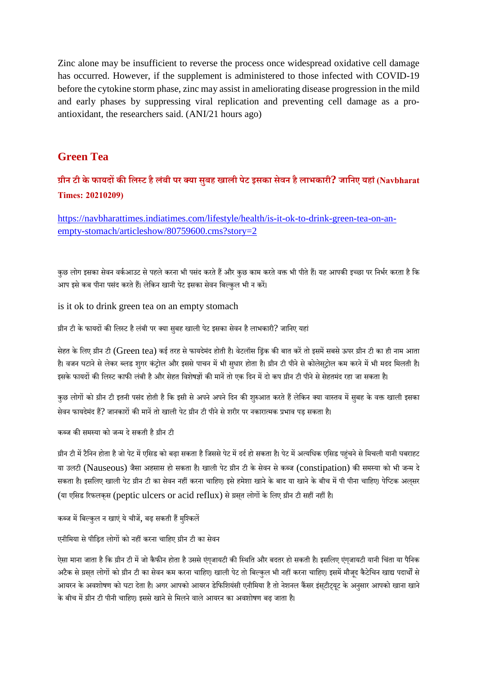Zinc alone may be insufficient to reverse the process once widespread oxidative cell damage has occurred. However, if the supplement is administered to those infected with COVID-19 before the cytokine storm phase, zinc may assist in ameliorating disease progression in the mild and early phases by suppressing viral replication and preventing cell damage as a proantioxidant, the researchers said. (ANI/21 hours ago)

#### **Green Tea**

# **ीन टी केफायदकिलट हैलंबी पर या सबुह खाली पेट इसका सेवन हैलाभकारी? जािनए यहां(Navbharat Times: 20210209)**

https://navbharattimes.indiatimes.com/lifestyle/health/is-it-ok-to-drink-green-tea-on-anempty-stomach/articleshow/80759600.cms?story=2

कुछ लोग इसका सेवन वर्कआउट से पहले करना भी पसंद करते हैं और कुछ काम करते वक्त भी पीते हैं। यह आपकी इच्छा पर निर्भर करता है कि आप इसे कब पीना पसंद करते हैं। लेकिन खानी पेट इसका सेवन बिल्कुल भी न करें।

is it ok to drink green tea on an empty stomach

ग्रीन टी के फायदों की लिस्ट है लंबी पर क्या सुबह खाली पेट इसका सेवन है लाभकारी? जानिए यहां

सेहत के लिए ग्रीन टी (Green tea) कई तरह से फायदेमंद होती है। वेटलॉस ड्रिंक की बात करें तो इसमें सबसे ऊपर ग्रीन टी का ही नाम आता है। वजन घटाने से लेकर ब्लड शुगर कंट्रोल और इससे पाचन में भी सुधार होता है। ग्रीन टी पीने से कोलेस्ट्रोल कम करने में भी मदद मिलती है। इसके फायदों की लिस्ट काफी लंबी है और सेहत विशेषज्ञों की मानें तो एक दिन में दो कप ग्रीन टी पीने से सेहतमंद रहा जा सकता है।

कुछ लोगों को ग्रीन टी इतनी पसंद होती है कि इसी से अपने अपने दिन की शुरुआत करते हैं लेकिन क्या वास्तव में सुबह के वक्त खाली इसका सेवन फायदेमंद हैं? जानकारों की मानें तो खाली पेट ग्रीन टी पीने से शरीर पर नकारात्मक प्रभाव पड़ सकता है।

#### कब्ज की समस्या को जन्म दे सकती है ग्रीन टी

ग्रीन टी में टैनिन होता है जो पेट में एसिड को बढ़ा सकता है जिससे पेट में दर्द हो सकता है। पेट में अत्यधिक एसिड पहंचने से मिचली यानी घबराहट या उलटी (Nauseous) जैसा अहसास हो सकता है। खाली पेट ग्रीन टी के सेवन से कब्ज (constipation) की समस्या को भी जन्म दे सकता है। इसलिए खाली पेट ग्रीन टी का सेवन नहीं करना चाहिए। इसे हमेशा खाने के बाद या खाने के बीच में पी पीना चाहिए। पेप्टिक अल्सर (या एसिड रिफलकस (peptic ulcers or acid reflux) से ग्रसत लोगों के लिए ग्रीन टी सहीं नहीं है।

कब्ज में बिल्कुल न खाएं ये चीजें, बढ़ सकती हैं मुश्किलें

#### एनीमिया से पीड़ित लोगों को नहीं करना चाहिए ग्रीन टी का सेवन

ऐसा माना जाता है कि ग्रीन टी में जो कैफीन होता है उससे एंगजायटी की स्थिति और बदतर हो सकती है। इसलिए एंगजायटी यानी चिंता या पैनिक अटैक से प्रसुत लोगों को ग्रीन टी का सेवन कम करना चाहिए। खाली पेट तो बिल्कुल भी नहीं करना चाहिए। इसमें मौजूद कैटेचिन खाद्य पदार्थों से आयरन के अवशोषण को घटा देता है। अगर आपको आयरन डेफिशियंसी एनीमिया है तो नेशनल कैंसर इंसटीटयुट के अनुसार आपको खाना खाने के बीच में ग्रीन टी पीनी चाहिए। इससे खाने से मिलने वाले आयरन का अवशोषण बढ़ जाता है।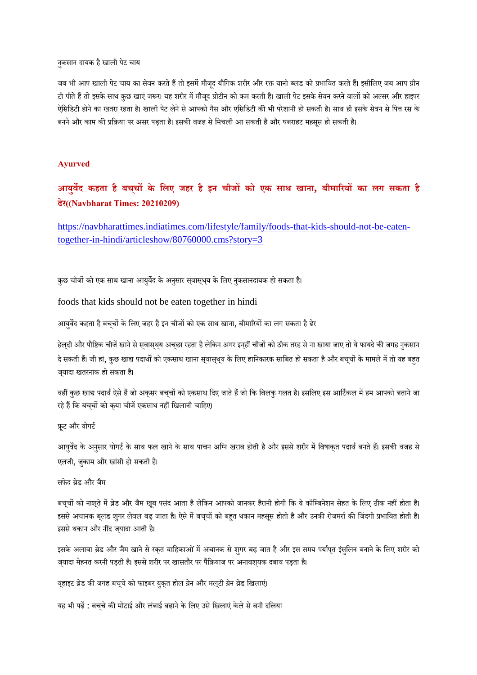नुकसान दायक है खाली पेट चाय

जब भी आप खाली पेट चाय का सेवन करते हैं तो इसमें मौजूद यौगिक शरीर और रक्त यानी ब्लड को प्रभावित करते हैं। इसीलिए जब आप ग्रीन टी पीते हैं तो इसके साथ कुछ खाएं जरूर। यह शरीर में मौजूद प्रोटीन को कम करती है। खाली पेट इसके सेवन करने वालों को अल्सर और हाइपर ऐसिडिटी होने का खतरा रहता है। खाली पेट लेने से आपको गैस और एसिडिटी की भी परेशानी हो सकती है। साथ ही इसके सेवन से पित्त रस के बनने और काम की प्रक्रिया पर असर पड़ता है। इसकी वजह से मिचली आ सकती है और घबराहट महसस हो सकती है।

#### **Ayurved**

# **आयुवद कहता है बचच् के िलए जहर हैइन चीजको एक साथ खाना, बीमारयका लग सकता है ढेर((Navbharat Times: 20210209)**

https://navbharattimes.indiatimes.com/lifestyle/family/foods-that-kids-should-not-be-eatentogether-in-hindi/articleshow/80760000.cms?story=3

कुछ चीजों को एक साथ खाना आयुर्वेद के अनुसार सवासृथय के लिए नुकसानदायक हो सकता है।

foods that kids should not be eaten together in hindi

आयुर्वेद कहता है बचचों के लिए जहर है इन चीजों को एक साथ खाना, बीमारियों का लग सकता है ढेर

हेल्दी और पौष्टिक चीजें खाने से स्वास्थ्य अच्छा रहता है लेकिन अगर इन्हीं चीजों को ठीक तरह से ना खाया जाए तो ये फायदे की जगह नुकसान दे सकती हैं। जी हां, कुछ खाद्य पदार्थों को एकसाथ खाना सवासथय के लिए हानिकारक साबित हो सकता है और बचचों के मामले में तो यह बहत ज्यादा खतरनाक हो सकता है।

वहीं कुछ खाद्य पदार्थ ऐसे हैं जो अकृसर बचचों को एकसाथ दिए जाते हैं जो कि बिलकु गलत है। इसलिए इस आर्टिकल में हम आपको बताने जा रहे हैं कि बच्चों को कया चीजें एकसाथ नहीं खिलानी चाहिए।

ूट और योगट

आयुर्वेद के अनुसार योगर्ट के साथ फल खाने के साथ पाचन अग्नि खराब होती है और इससे शरीर में विषाकृत पदार्थ बनते हैं। इसकी वजह से एलजी, जकाम और खांसी हो सकती है।

सफेद ब्रेड और जैम

बच्चों को नाशते में ब्रेड और जैम खूब पसंद आता है लेकिन आपको जानकर हैरानी होगी कि ये कॉम्बिनेशन सेहत के लिए ठीक नहीं होता है। इससे अचानक बलड शुगर लेवल बढ़ जाता है। ऐसे में बच्चों को बहुत थकान महसूस होती है और उनकी रोजमर्रा की जिंदगी प्रभावित होती है। इससे थकान और नींद जयादा आती है।

इसके अलावा ब्रेड और जैम खाने से रकत वाहिकाओं में अचानक से शुगर बढ़ जात है और इस समय पर्यापत इंसुलिन बनाने के लिए शरीर को ज़्यादा मेहनत करनी पड़ती है। इससे शरीर पर खासतौर पर पैंक्रियाज पर अनावश्यक दबाव पड़ता है।

वहाइट ब्रेड की जगह बच्चे को फाइबर युकुत होल ग्रेन और मल्टी ग्रेन ब्रेड खिलाएं।

यह भी पढ़ें : बच्चे की मोटाई और लंबाई बढ़ाने के लिए उसे खिलाएं केले से बनी दलिया